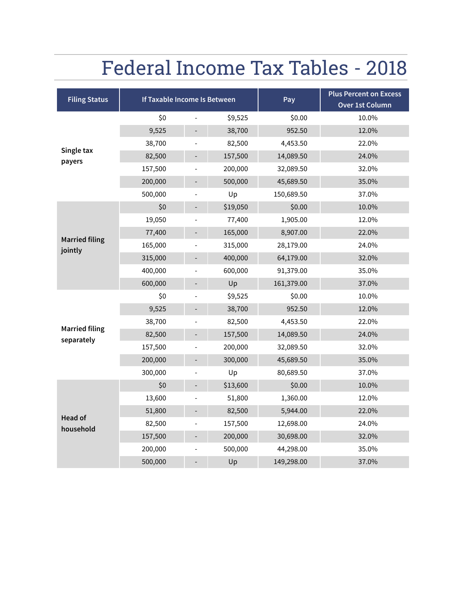# Federal Income Tax Tables - 2018

| <b>Filing Status</b>                | <b>If Taxable Income Is Between</b> |  | Pay      | <b>Plus Percent on Excess</b><br>Over 1st Column |       |
|-------------------------------------|-------------------------------------|--|----------|--------------------------------------------------|-------|
|                                     | \$0                                 |  | \$9,525  | \$0.00                                           | 10.0% |
|                                     | 9,525                               |  | 38,700   | 952.50                                           | 12.0% |
|                                     | 38,700                              |  | 82,500   | 4,453.50                                         | 22.0% |
| Single tax<br>payers                | 82,500                              |  | 157,500  | 14,089.50                                        | 24.0% |
|                                     | 157,500                             |  | 200,000  | 32,089.50                                        | 32.0% |
|                                     | 200,000                             |  | 500,000  | 45,689.50                                        | 35.0% |
|                                     | 500,000                             |  | Up       | 150,689.50                                       | 37.0% |
|                                     | \$0                                 |  | \$19,050 | \$0.00                                           | 10.0% |
|                                     | 19,050                              |  | 77,400   | 1,905.00                                         | 12.0% |
|                                     | 77,400                              |  | 165,000  | 8,907.00                                         | 22.0% |
| <b>Married filing</b><br>jointly    | 165,000                             |  | 315,000  | 28,179.00                                        | 24.0% |
|                                     | 315,000                             |  | 400,000  | 64,179.00                                        | 32.0% |
|                                     | 400,000                             |  | 600,000  | 91,379.00                                        | 35.0% |
|                                     | 600,000                             |  | Up       | 161,379.00                                       | 37.0% |
|                                     | \$0                                 |  | \$9,525  | \$0.00                                           | 10.0% |
|                                     | 9,525                               |  | 38,700   | 952.50                                           | 12.0% |
|                                     | 38,700                              |  | 82,500   | 4,453.50                                         | 22.0% |
| <b>Married filing</b><br>separately | 82,500                              |  | 157,500  | 14,089.50                                        | 24.0% |
|                                     | 157,500                             |  | 200,000  | 32,089.50                                        | 32.0% |
|                                     | 200,000                             |  | 300,000  | 45,689.50                                        | 35.0% |
|                                     | 300,000                             |  | Up       | 80,689.50                                        | 37.0% |
|                                     | \$0                                 |  | \$13,600 | \$0.00                                           | 10.0% |
| Head of<br>household                | 13,600                              |  | 51,800   | 1,360.00                                         | 12.0% |
|                                     | 51,800                              |  | 82,500   | 5,944.00                                         | 22.0% |
|                                     | 82,500                              |  | 157,500  | 12,698.00                                        | 24.0% |
|                                     | 157,500                             |  | 200,000  | 30,698.00                                        | 32.0% |
|                                     | 200,000                             |  | 500,000  | 44,298.00                                        | 35.0% |
|                                     | 500,000                             |  | Up       | 149,298.00                                       | 37.0% |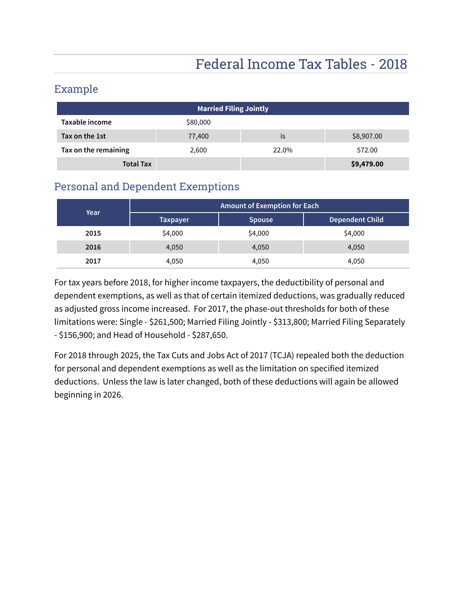## Federal Income Tax Tables - 2018

#### Example

| <b>Married Filing Jointly</b> |          |       |            |  |
|-------------------------------|----------|-------|------------|--|
| Taxable income                | \$80,000 |       |            |  |
| Tax on the 1st                | 77,400   | İS    | \$8,907.00 |  |
| Tax on the remaining          | 2,600    | 22.0% | 572.00     |  |
| <b>Total Tax</b>              |          |       | \$9,479.00 |  |

#### Personal and Dependent Exemptions

| Year | <b>Amount of Exemption for Each</b> |               |                        |  |
|------|-------------------------------------|---------------|------------------------|--|
|      | <b>Taxpayer</b>                     | <b>Spouse</b> | <b>Dependent Child</b> |  |
| 2015 | \$4,000                             | \$4,000       | \$4,000                |  |
| 2016 | 4,050                               | 4,050         | 4,050                  |  |
| 2017 | 4,050                               | 4,050         | 4,050                  |  |

For tax years before 2018, for higher income taxpayers, the deductibility of personal and dependent exemptions, as well as that of certain itemized deductions, was gradually reduced as adjusted gross income increased. For 2017, the phase-out thresholds for both of these limitations were: Single - \$261,500; Married Filing Jointly - \$313,800; Married Filing Separately - \$156,900; and Head of Household - \$287,650.

For 2018 through 2025, the Tax Cuts and Jobs Act of 2017 (TCJA) repealed both the deduction for personal and dependent exemptions as well as the limitation on specified itemized deductions. Unless the law is later changed, both of these deductions will again be allowed beginning in 2026.